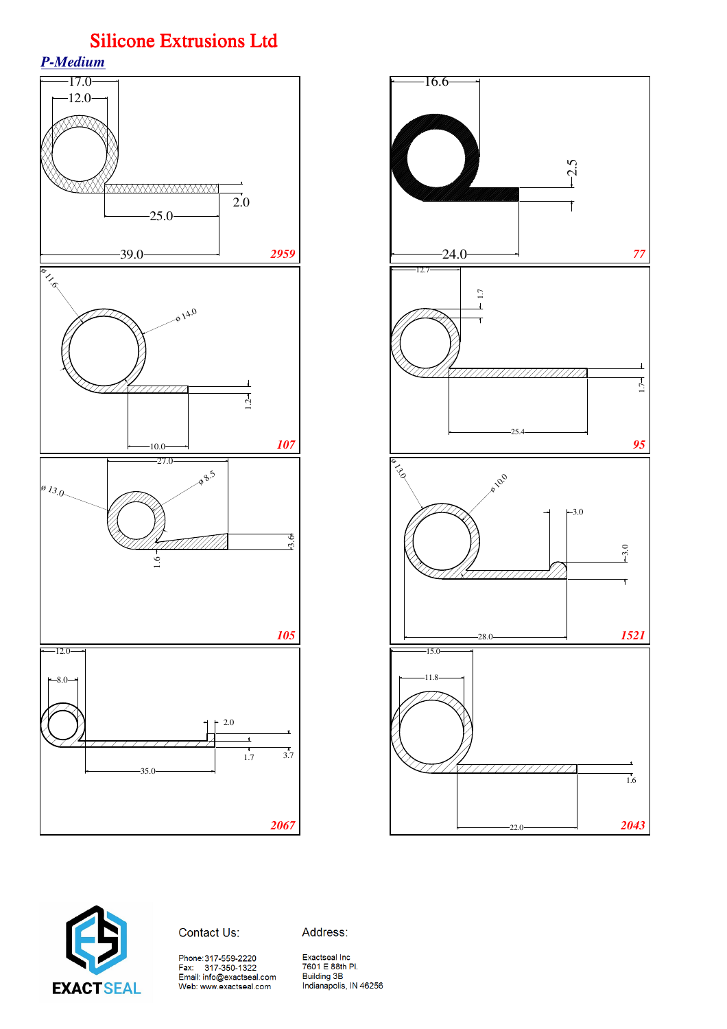





Contact Us:

Address:

Phone:317-559-2220<br>Fax: 317-350-1322<br>Email: info@exactseal.com<br>Web: www.exactseal.com

Exactseal Inc<br>7601 E 88th Pl. Building 3B<br>Indianapolis, IN 46256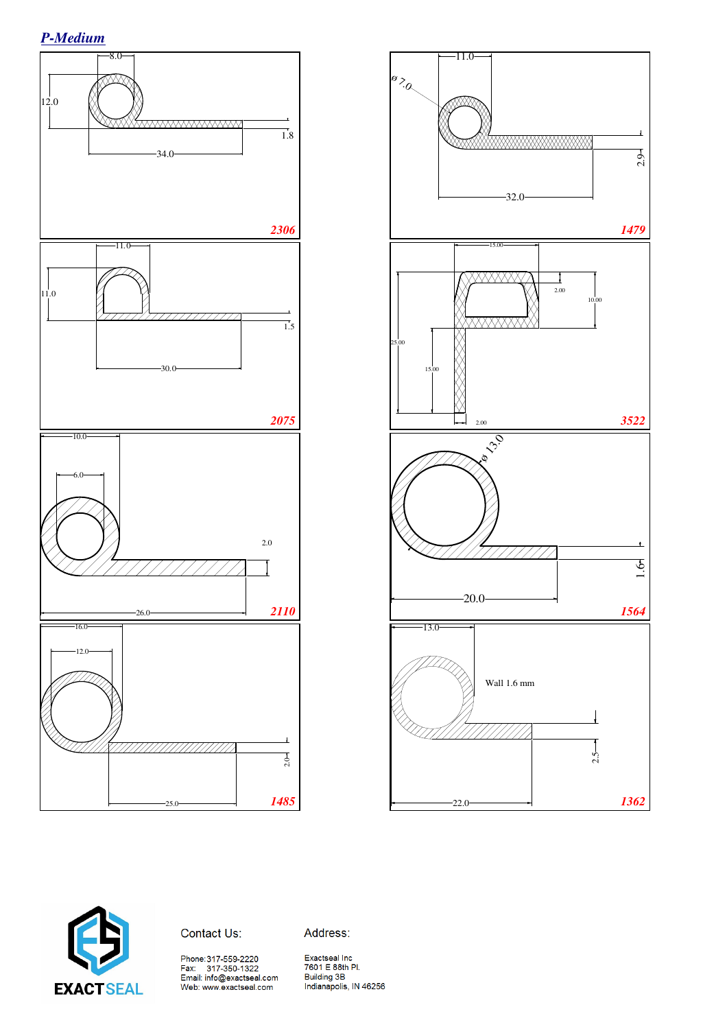





Contact Us:

Address:

Phone:317-559-2220<br>Fax: 317-350-1322<br>Email: info@exactseal.com Web: www.exactseal.com

Exactseal Inc 7601 E 88th Pl. **Building 3B** building JB<br>Indianapolis, IN 46256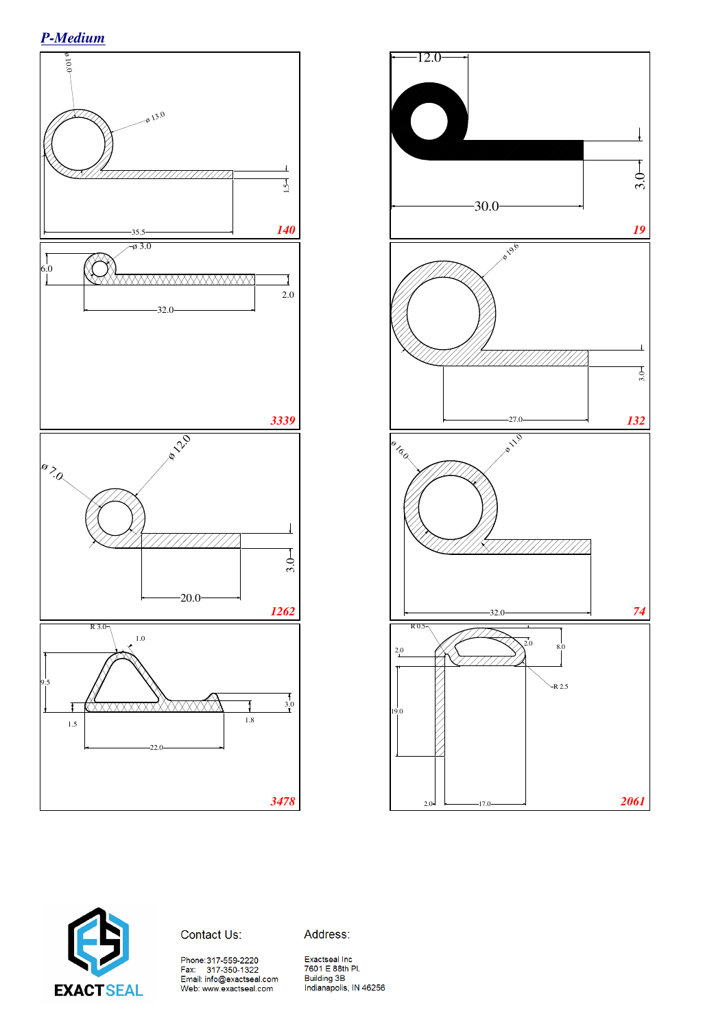*P-Medium*







Address:

Phone:317-559-2220<br>Fax: 317-350-1322<br>Email: info@exactseal.com<br>Web: www.exactseal.com

Exactseal Inc<br>7601 E 88th Pl.<br>Building 3B Indianapolis, IN 46256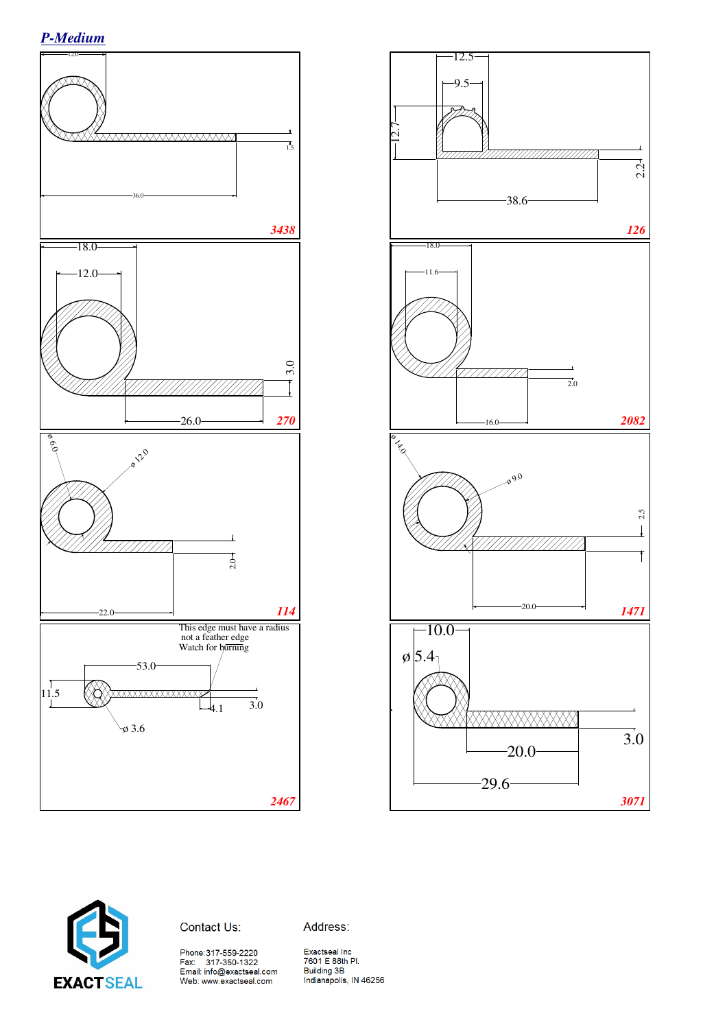





Contact Us:

Address:

Exactseal Inc<br>7601 E 88th Pl. **Building 3B** Indianapolis, IN 46256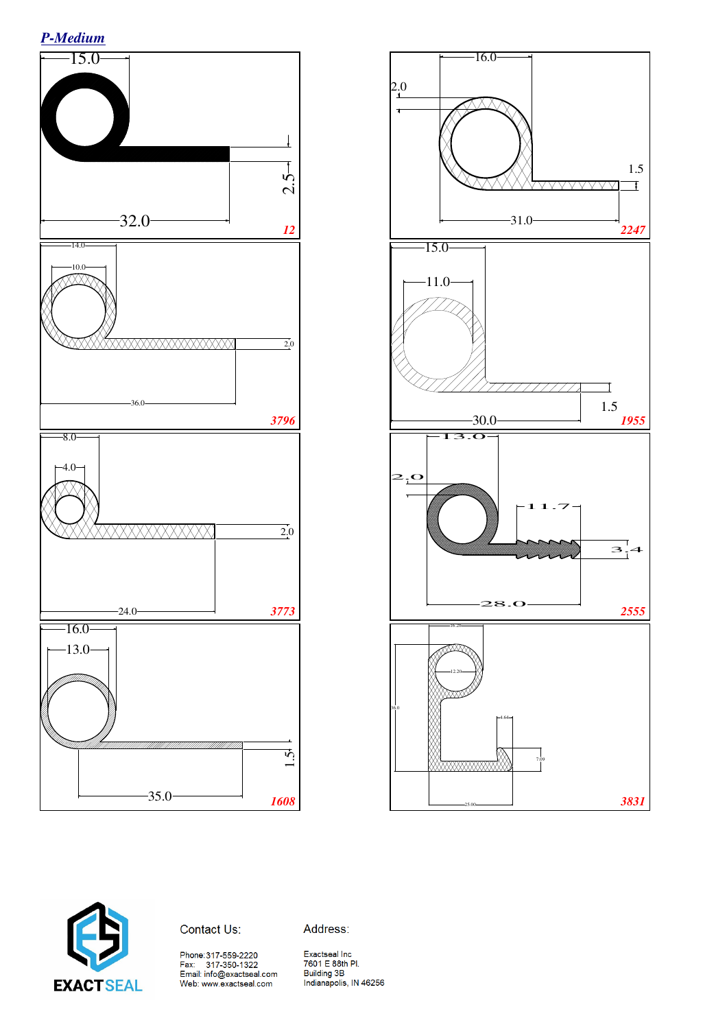





Address:

Exactseal Inc<br>7601 E 88th Pl.<br>Building 3B<br>Indianapolis, IN 46256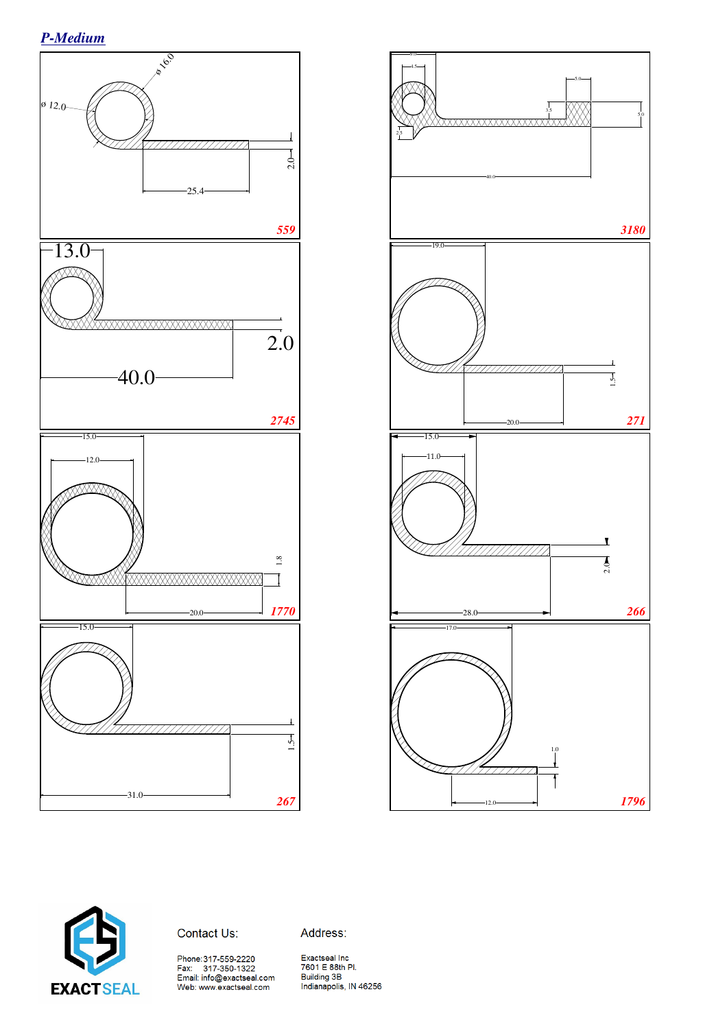





Contact Us:

Address:

Phone:317-559-2220<br>Fax: 317-350-1322<br>Email: info@exactseal.com<br>Web: www.exactseal.com

Exactseal Inc 7601 E 88th Pl. Building 3B<br>Indianapolis, IN 46256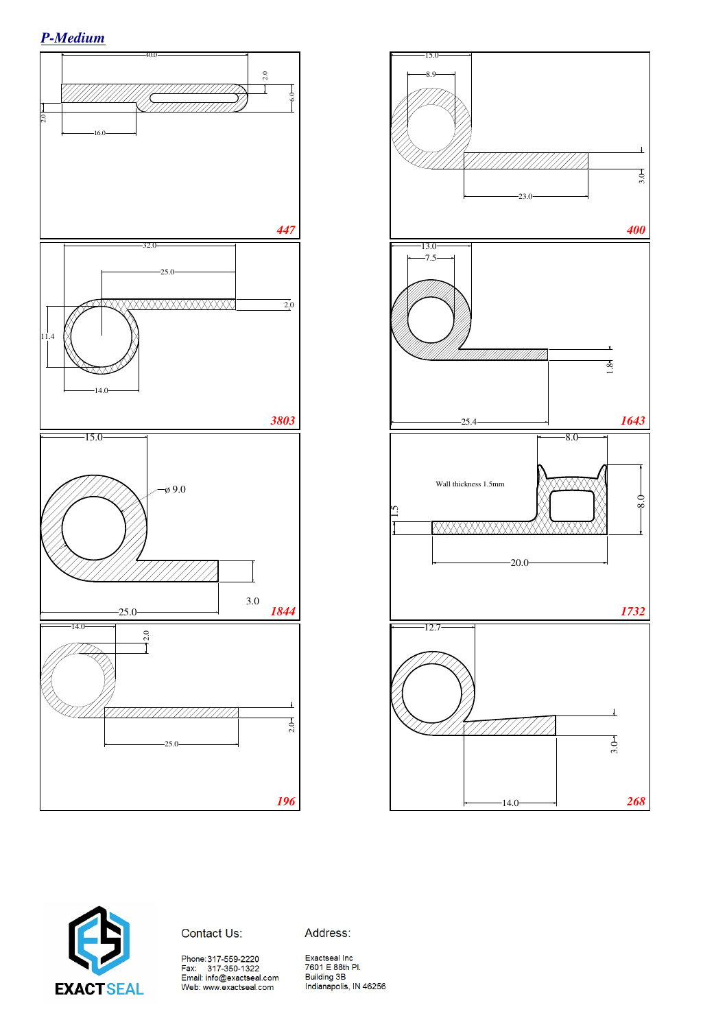*P-Medium*







Address:

Phone:317-559-2220<br>Fax: 317-350-1322<br>Email: info@exactseal.com<br>Web: www.exactseal.com

Exactseal Inc 7601 E 88th Pl. Building 3B<br>
Indianapolis, IN 46256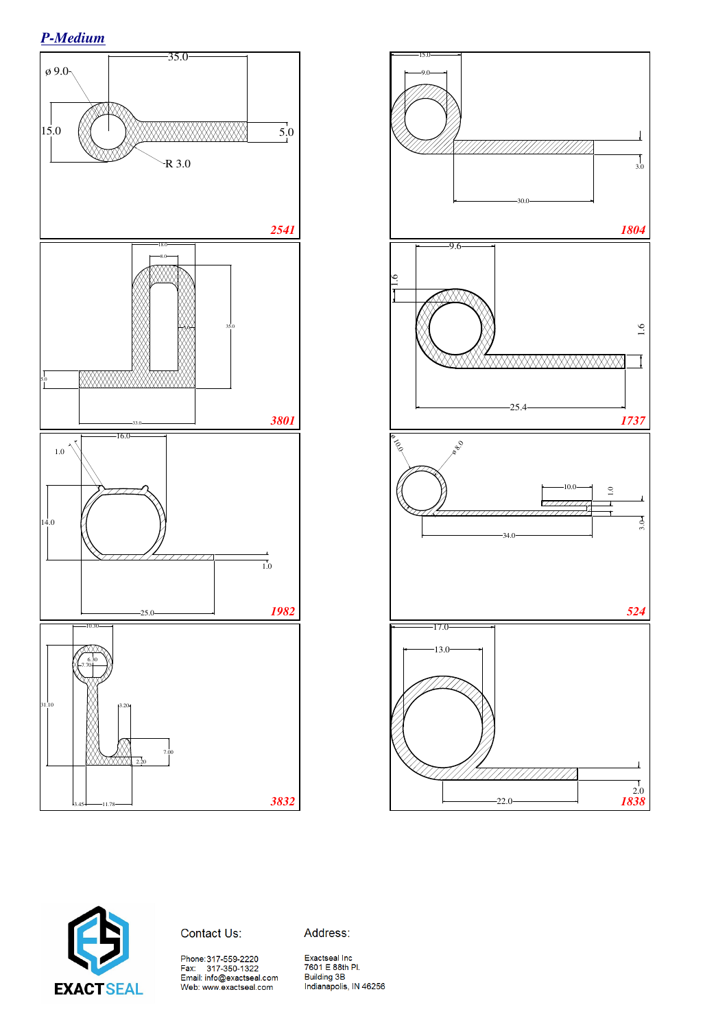





Contact Us:

Address:

Phone:317-559-2220<br>Fax: 317-350-1322<br>Email: info@exactseal.com<br>Web: www.exactseal.com

Exactseal Inc 7601 E 88th Pl. Building 3B<br>Indianapolis, IN 46256